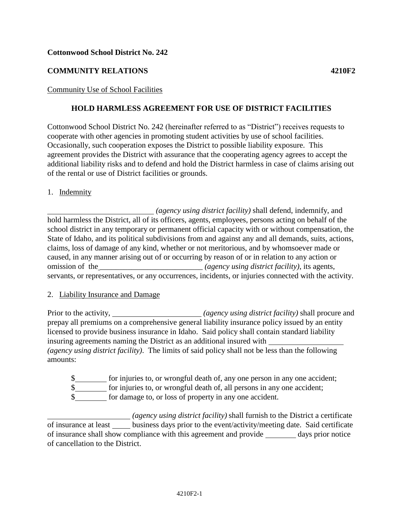## **Cottonwood School District No. 242**

# **COMMUNITY RELATIONS 4210F2**

Community Use of School Facilities

## **HOLD HARMLESS AGREEMENT FOR USE OF DISTRICT FACILITIES**

Cottonwood School District No. 242 (hereinafter referred to as "District") receives requests to cooperate with other agencies in promoting student activities by use of school facilities. Occasionally, such cooperation exposes the District to possible liability exposure. This agreement provides the District with assurance that the cooperating agency agrees to accept the additional liability risks and to defend and hold the District harmless in case of claims arising out of the rental or use of District facilities or grounds.

1. Indemnity

*(agency using district facility)* shall defend, indemnify, and hold harmless the District, all of its officers, agents, employees, persons acting on behalf of the school district in any temporary or permanent official capacity with or without compensation, the State of Idaho, and its political subdivisions from and against any and all demands, suits, actions, claims, loss of damage of any kind, whether or not meritorious, and by whomsoever made or caused, in any manner arising out of or occurring by reason of or in relation to any action or omission of the \_\_\_\_\_\_\_\_\_\_\_\_\_\_\_\_\_\_\_\_\_\_\_\_\_\_ *(agency using district facility)*, its agents, servants, or representatives, or any occurrences, incidents, or injuries connected with the activity.

#### 2. Liability Insurance and Damage

Prior to the activity, *(agency using district facility)* shall procure and prepay all premiums on a comprehensive general liability insurance policy issued by an entity licensed to provide business insurance in Idaho. Said policy shall contain standard liability insuring agreements naming the District as an additional insured with *(agency using district facility)*. The limits of said policy shall not be less than the following amounts:

- \$
- \$
- $\frac{1}{2}$  for damage to, or loss of property in any one accident.

*(agency using district facility)* shall furnish to the District a certificate of insurance at least \_\_\_\_\_ business days prior to the event/activity/meeting date. Said certificate of insurance shall show compliance with this agreement and provide days prior notice of cancellation to the District.